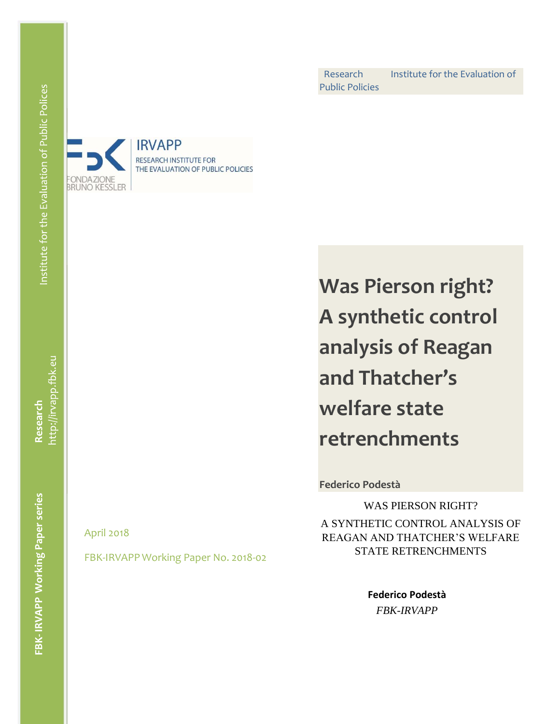Research Institute for the Evaluation of Public Policies

**IRVAPP RESEARCH INSTITUTE FOR** THE EVALUATION OF PUBLIC POLICIES FONDAZIONE<br>BRUNO KESSLER

> **Was Pierson right? A synthetic control analysis of Reagan and Thatcher's welfare state retrenchments**

**Federico Podestà**

WAS PIERSON RIGHT?

A SYNTHETIC CONTROL ANALYSIS OF REAGAN AND THATCHER'S WELFARE STATE RETRENCHMENTS

> **Federico Podestà** *FBK-IRVAPP*

April 2018

FBK-IRVAPP Working Paper No. 2018-02

http://irvapp.fbk.eu Research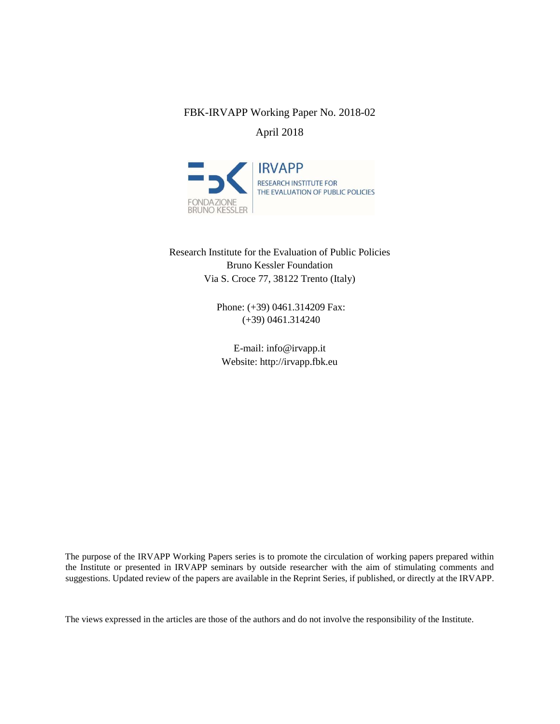FBK-IRVAPP Working Paper No. 2018-02

April 2018



Research Institute for the Evaluation of Public Policies Bruno Kessler Foundation Via S. Croce 77, 38122 Trento (Italy)

> Phone: (+39) 0461.314209 Fax: (+39) 0461.314240

E-mail: info@irvapp.it Website: http://irvapp.fbk.eu

The purpose of the IRVAPP Working Papers series is to promote the circulation of working papers prepared within the Institute or presented in IRVAPP seminars by outside researcher with the aim of stimulating comments and suggestions. Updated review of the papers are available in the Reprint Series, if published, or directly at the IRVAPP.

The views expressed in the articles are those of the authors and do not involve the responsibility of the Institute.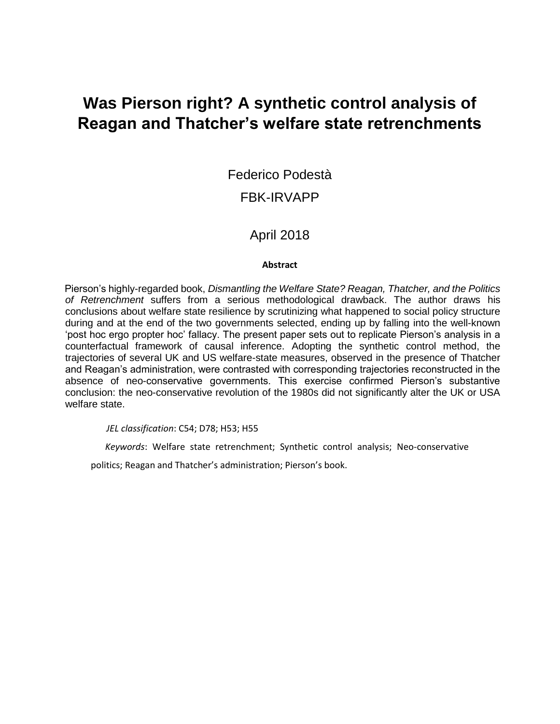# **Was Pierson right? A synthetic control analysis of Reagan and Thatcher's welfare state retrenchments**

Federico Podestà FBK-IRVAPP

## April 2018

#### **Abstract**

Pierson's highly-regarded book, *Dismantling the Welfare State? Reagan, Thatcher, and the Politics of Retrenchment* suffers from a serious methodological drawback. The author draws his conclusions about welfare state resilience by scrutinizing what happened to social policy structure during and at the end of the two governments selected, ending up by falling into the well-known 'post hoc ergo propter hoc' fallacy. The present paper sets out to replicate Pierson's analysis in a counterfactual framework of causal inference. Adopting the synthetic control method, the trajectories of several UK and US welfare-state measures, observed in the presence of Thatcher and Reagan's administration, were contrasted with corresponding trajectories reconstructed in the absence of neo-conservative governments. This exercise confirmed Pierson's substantive conclusion: the neo-conservative revolution of the 1980s did not significantly alter the UK or USA welfare state.

*JEL classification*: C54; D78; H53; H55

*Keywords*: Welfare state retrenchment; Synthetic control analysis; Neo-conservative

politics; Reagan and Thatcher's administration; Pierson's book.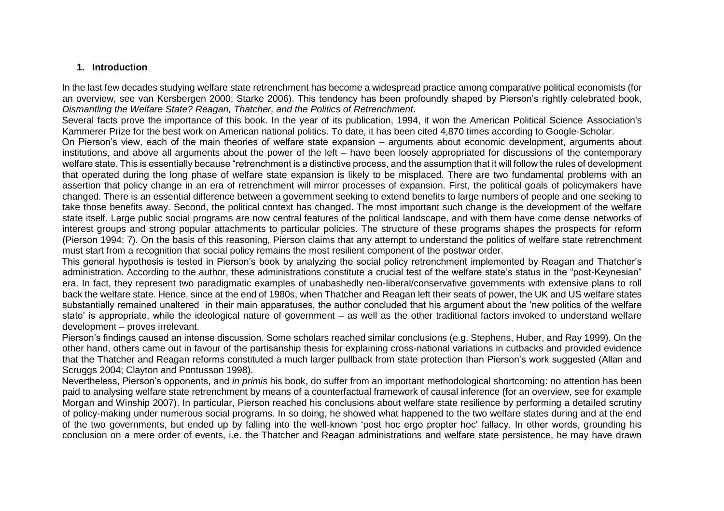#### **1. Introduction**

In the last few decades studying welfare state retrenchment has become a widespread practice among comparative political economists (for an overview, see van Kersbergen 2000; Starke 2006). This tendency has been profoundly shaped by Pierson's rightly celebrated book, *Dismantling the Welfare State? Reagan, Thatcher, and the Politics of Retrenchment*.

Several facts prove the importance of this book. In the year of its publication, 1994, it won the American Political Science Association's Kammerer Prize for the best work on American national politics. To date, it has been cited 4,870 times according to Google-Scholar.

On Pierson's view, each of the main theories of welfare state expansion – arguments about economic development, arguments about institutions, and above all arguments about the power of the left – have been loosely appropriated for discussions of the contemporary welfare state. This is essentially because "retrenchment is a distinctive process, and the assumption that it will follow the rules of development that operated during the long phase of welfare state expansion is likely to be misplaced. There are two fundamental problems with an assertion that policy change in an era of retrenchment will mirror processes of expansion. First, the political goals of policymakers have changed. There is an essential difference between a government seeking to extend benefits to large numbers of people and one seeking to take those benefits away. Second, the political context has changed. The most important such change is the development of the welfare state itself. Large public social programs are now central features of the political landscape, and with them have come dense networks of interest groups and strong popular attachments to particular policies. The structure of these programs shapes the prospects for reform (Pierson 1994: 7). On the basis of this reasoning, Pierson claims that any attempt to understand the politics of welfare state retrenchment must start from a recognition that social policy remains the most resilient component of the postwar order.

This general hypothesis is tested in Pierson's book by analyzing the social policy retrenchment implemented by Reagan and Thatcher's administration. According to the author, these administrations constitute a crucial test of the welfare state's status in the "post-Keynesian" era. In fact, they represent two paradigmatic examples of unabashedly neo-liberal/conservative governments with extensive plans to roll back the welfare state. Hence, since at the end of 1980s, when Thatcher and Reagan left their seats of power, the UK and US welfare states substantially remained unaltered in their main apparatuses, the author concluded that his argument about the 'new politics of the welfare state' is appropriate, while the ideological nature of government – as well as the other traditional factors invoked to understand welfare development – proves irrelevant.

Pierson's findings caused an intense discussion. Some scholars reached similar conclusions (e.g. Stephens, Huber, and Ray 1999). On the other hand, others came out in favour of the partisanship thesis for explaining cross-national variations in cutbacks and provided evidence that the Thatcher and Reagan reforms constituted a much larger pullback from state protection than Pierson's work suggested (Allan and Scruggs 2004; Clayton and Pontusson 1998).

Nevertheless, Pierson's opponents, and *in primis* his book, do suffer from an important methodological shortcoming: no attention has been paid to analysing welfare state retrenchment by means of a counterfactual framework of causal inference (for an overview, see for example Morgan and Winship 2007). In particular, Pierson reached his conclusions about welfare state resilience by performing a detailed scrutiny of policy-making under numerous social programs. In so doing, he showed what happened to the two welfare states during and at the end of the two governments, but ended up by falling into the well-known 'post hoc ergo propter hoc' fallacy. In other words, grounding his conclusion on a mere order of events, i.e. the Thatcher and Reagan administrations and welfare state persistence, he may have drawn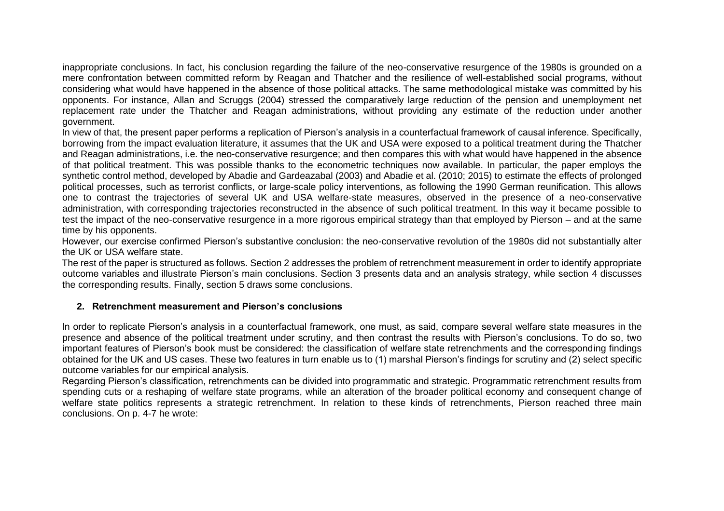inappropriate conclusions. In fact, his conclusion regarding the failure of the neo-conservative resurgence of the 1980s is grounded on a mere confrontation between committed reform by Reagan and Thatcher and the resilience of well-established social programs, without considering what would have happened in the absence of those political attacks. The same methodological mistake was committed by his opponents. For instance, Allan and Scruggs (2004) stressed the comparatively large reduction of the pension and unemployment net replacement rate under the Thatcher and Reagan administrations, without providing any estimate of the reduction under another government.

In view of that, the present paper performs a replication of Pierson's analysis in a counterfactual framework of causal inference. Specifically, borrowing from the impact evaluation literature, it assumes that the UK and USA were exposed to a political treatment during the Thatcher and Reagan administrations, i.e. the neo-conservative resurgence; and then compares this with what would have happened in the absence of that political treatment. This was possible thanks to the econometric techniques now available. In particular, the paper employs the synthetic control method, developed by Abadie and Gardeazabal (2003) and Abadie et al. (2010; 2015) to estimate the effects of prolonged political processes, such as terrorist conflicts, or large-scale policy interventions, as following the 1990 German reunification. This allows one to contrast the trajectories of several UK and USA welfare-state measures, observed in the presence of a neo-conservative administration, with corresponding trajectories reconstructed in the absence of such political treatment. In this way it became possible to test the impact of the neo-conservative resurgence in a more rigorous empirical strategy than that employed by Pierson – and at the same time by his opponents.

However, our exercise confirmed Pierson's substantive conclusion: the neo-conservative revolution of the 1980s did not substantially alter the UK or USA welfare state.

The rest of the paper is structured as follows. Section 2 addresses the problem of retrenchment measurement in order to identify appropriate outcome variables and illustrate Pierson's main conclusions. Section 3 presents data and an analysis strategy, while section 4 discusses the corresponding results. Finally, section 5 draws some conclusions.

#### **2. Retrenchment measurement and Pierson's conclusions**

In order to replicate Pierson's analysis in a counterfactual framework, one must, as said, compare several welfare state measures in the presence and absence of the political treatment under scrutiny, and then contrast the results with Pierson's conclusions. To do so, two important features of Pierson's book must be considered: the classification of welfare state retrenchments and the corresponding findings obtained for the UK and US cases. These two features in turn enable us to (1) marshal Pierson's findings for scrutiny and (2) select specific outcome variables for our empirical analysis.

Regarding Pierson's classification, retrenchments can be divided into programmatic and strategic. Programmatic retrenchment results from spending cuts or a reshaping of welfare state programs, while an alteration of the broader political economy and consequent change of welfare state politics represents a strategic retrenchment. In relation to these kinds of retrenchments, Pierson reached three main conclusions. On p. 4-7 he wrote: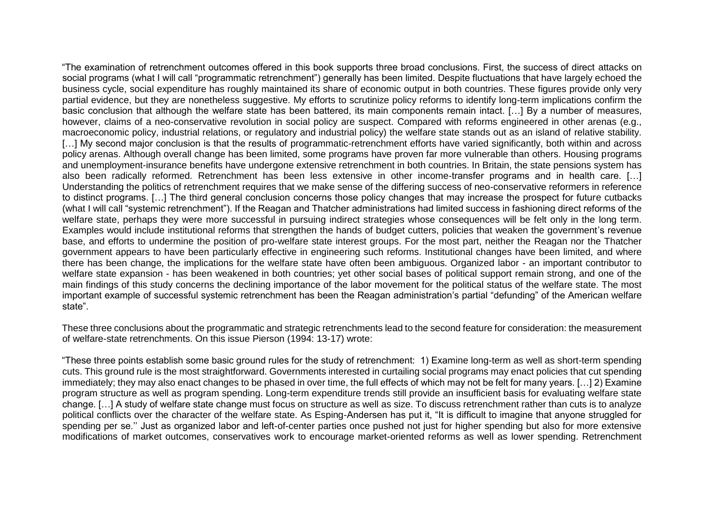"The examination of retrenchment outcomes offered in this book supports three broad conclusions. First, the success of direct attacks on social programs (what I will call "programmatic retrenchment") generally has been limited. Despite fluctuations that have largely echoed the business cycle, social expenditure has roughly maintained its share of economic output in both countries. These figures provide only very partial evidence, but they are nonetheless suggestive. My efforts to scrutinize policy reforms to identify long-term implications confirm the basic conclusion that although the welfare state has been battered, its main components remain intact. […] By a number of measures, however, claims of a neo-conservative revolution in social policy are suspect. Compared with reforms engineered in other arenas (e.g., macroeconomic policy, industrial relations, or regulatory and industrial policy) the welfare state stands out as an island of relative stability. [...] My second major conclusion is that the results of programmatic-retrenchment efforts have varied significantly, both within and across policy arenas. Although overall change has been limited, some programs have proven far more vulnerable than others. Housing programs and unemployment-insurance benefits have undergone extensive retrenchment in both countries. In Britain, the state pensions system has also been radically reformed. Retrenchment has been less extensive in other income-transfer programs and in health care. […] Understanding the politics of retrenchment requires that we make sense of the differing success of neo-conservative reformers in reference to distinct programs. […] The third general conclusion concerns those policy changes that may increase the prospect for future cutbacks (what I will call "systemic retrenchment"). If the Reagan and Thatcher administrations had limited success in fashioning direct reforms of the welfare state, perhaps they were more successful in pursuing indirect strategies whose consequences will be felt only in the long term. Examples would include institutional reforms that strengthen the hands of budget cutters, policies that weaken the government's revenue base, and efforts to undermine the position of pro-welfare state interest groups. For the most part, neither the Reagan nor the Thatcher government appears to have been particularly effective in engineering such reforms. Institutional changes have been limited, and where there has been change, the implications for the welfare state have often been ambiguous. Organized labor - an important contributor to welfare state expansion - has been weakened in both countries; yet other social bases of political support remain strong, and one of the main findings of this study concerns the declining importance of the labor movement for the political status of the welfare state. The most important example of successful systemic retrenchment has been the Reagan administration's partial "defunding" of the American welfare state".

These three conclusions about the programmatic and strategic retrenchments lead to the second feature for consideration: the measurement of welfare-state retrenchments. On this issue Pierson (1994: 13-17) wrote:

"These three points establish some basic ground rules for the study of retrenchment: 1) Examine long-term as well as short-term spending cuts. This ground rule is the most straightforward. Governments interested in curtailing social programs may enact policies that cut spending immediately; they may also enact changes to be phased in over time, the full effects of which may not be felt for many years. […] 2) Examine program structure as well as program spending. Long-term expenditure trends still provide an insufficient basis for evaluating welfare state change. […] A study of welfare state change must focus on structure as well as size. To discuss retrenchment rather than cuts is to analyze political conflicts over the character of the welfare state. As Esping-Andersen has put it, "It is difficult to imagine that anyone struggled for spending per se.'' Just as organized labor and left-of-center parties once pushed not just for higher spending but also for more extensive modifications of market outcomes, conservatives work to encourage market-oriented reforms as well as lower spending. Retrenchment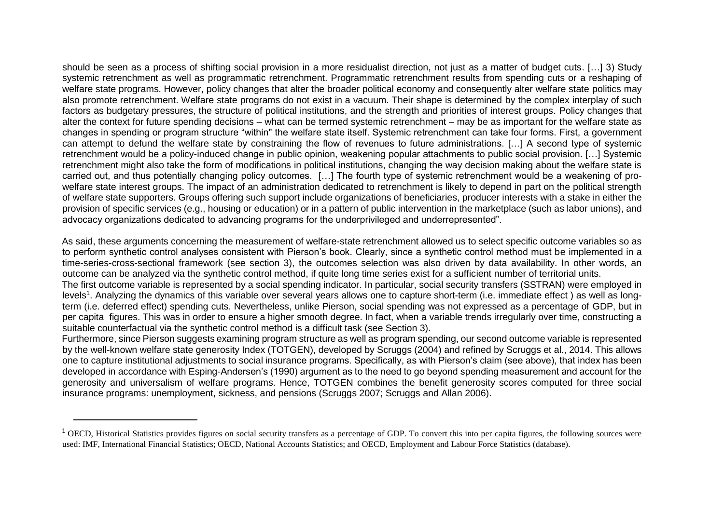should be seen as a process of shifting social provision in a more residualist direction, not just as a matter of budget cuts. […] 3) Study systemic retrenchment as well as programmatic retrenchment. Programmatic retrenchment results from spending cuts or a reshaping of welfare state programs. However, policy changes that alter the broader political economy and consequently alter welfare state politics may also promote retrenchment. Welfare state programs do not exist in a vacuum. Their shape is determined by the complex interplay of such factors as budgetary pressures, the structure of political institutions, and the strength and priorities of interest groups. Policy changes that alter the context for future spending decisions – what can be termed systemic retrenchment – may be as important for the welfare state as changes in spending or program structure "within" the welfare state itself. Systemic retrenchment can take four forms. First, a government can attempt to defund the welfare state by constraining the flow of revenues to future administrations. […] A second type of systemic retrenchment would be a policy-induced change in public opinion, weakening popular attachments to public social provision. […] Systemic retrenchment might also take the form of modifications in political institutions, changing the way decision making about the welfare state is carried out, and thus potentially changing policy outcomes. […] The fourth type of systemic retrenchment would be a weakening of prowelfare state interest groups. The impact of an administration dedicated to retrenchment is likely to depend in part on the political strength of welfare state supporters. Groups offering such support include organizations of beneficiaries, producer interests with a stake in either the provision of specific services (e.g., housing or education) or in a pattern of public intervention in the marketplace (such as labor unions), and advocacy organizations dedicated to advancing programs for the underprivileged and underrepresented".

As said, these arguments concerning the measurement of welfare-state retrenchment allowed us to select specific outcome variables so as to perform synthetic control analyses consistent with Pierson's book. Clearly, since a synthetic control method must be implemented in a time-series-cross-sectional framework (see section 3), the outcomes selection was also driven by data availability. In other words, an outcome can be analyzed via the synthetic control method, if quite long time series exist for a sufficient number of territorial units.

The first outcome variable is represented by a social spending indicator. In particular, social security transfers (SSTRAN) were employed in levels<sup>1</sup>. Analyzing the dynamics of this variable over several years allows one to capture short-term (i.e. immediate effect) as well as longterm (i.e. deferred effect) spending cuts. Nevertheless, unlike Pierson, social spending was not expressed as a percentage of GDP, but in per capita figures. This was in order to ensure a higher smooth degree. In fact, when a variable trends irregularly over time, constructing a suitable counterfactual via the synthetic control method is a difficult task (see Section 3).

Furthermore, since Pierson suggests examining program structure as well as program spending, our second outcome variable is represented by the well-known welfare state generosity Index (TOTGEN), developed by Scruggs (2004) and refined by Scruggs et al., 2014. This allows one to capture institutional adjustments to social insurance programs. Specifically, as with Pierson's claim (see above), that index has been developed in accordance with Esping-Andersen's (1990) argument as to the need to go beyond spending measurement and account for the generosity and universalism of welfare programs. Hence, TOTGEN combines the benefit generosity scores computed for three social insurance programs: unemployment, sickness, and pensions (Scruggs 2007; Scruggs and Allan 2006).

 $1$  OECD, Historical Statistics provides figures on social security transfers as a percentage of GDP. To convert this into per capita figures, the following sources were used: IMF, International Financial Statistics; OECD, National Accounts Statistics; and OECD, Employment and Labour Force Statistics (database).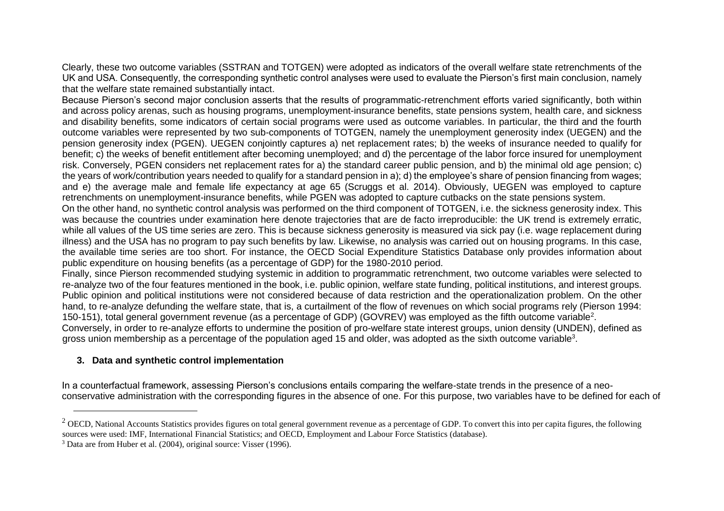Clearly, these two outcome variables (SSTRAN and TOTGEN) were adopted as indicators of the overall welfare state retrenchments of the UK and USA. Consequently, the corresponding synthetic control analyses were used to evaluate the Pierson's first main conclusion, namely that the welfare state remained substantially intact.

Because Pierson's second major conclusion asserts that the results of programmatic-retrenchment efforts varied significantly, both within and across policy arenas, such as housing programs, unemployment-insurance benefits, state pensions system, health care, and sickness and disability benefits, some indicators of certain social programs were used as outcome variables. In particular, the third and the fourth outcome variables were represented by two sub-components of TOTGEN, namely the unemployment generosity index (UEGEN) and the pension generosity index (PGEN). UEGEN conjointly captures a) net replacement rates; b) the weeks of insurance needed to qualify for benefit; c) the weeks of benefit entitlement after becoming unemployed; and d) the percentage of the labor force insured for unemployment risk. Conversely, PGEN considers net replacement rates for a) the standard career public pension, and b) the minimal old age pension; c) the years of work/contribution years needed to qualify for a standard pension in a); d) the employee's share of pension financing from wages; and e) the average male and female life expectancy at age 65 (Scruggs et al. 2014). Obviously, UEGEN was employed to capture retrenchments on unemployment-insurance benefits, while PGEN was adopted to capture cutbacks on the state pensions system.

On the other hand, no synthetic control analysis was performed on the third component of TOTGEN, i.e. the sickness generosity index. This was because the countries under examination here denote trajectories that are de facto irreproducible: the UK trend is extremely erratic, while all values of the US time series are zero. This is because sickness generosity is measured via sick pay (i.e. wage replacement during illness) and the USA has no program to pay such benefits by law. Likewise, no analysis was carried out on housing programs. In this case, the available time series are too short. For instance, the OECD Social Expenditure Statistics Database only provides information about public expenditure on housing benefits (as a percentage of GDP) for the 1980-2010 period.

Finally, since Pierson recommended studying systemic in addition to programmatic retrenchment, two outcome variables were selected to re-analyze two of the four features mentioned in the book, i.e. public opinion, welfare state funding, political institutions, and interest groups. Public opinion and political institutions were not considered because of data restriction and the operationalization problem. On the other hand, to re-analyze defunding the welfare state, that is, a curtailment of the flow of revenues on which social programs rely (Pierson 1994: 150-151), total general government revenue (as a percentage of GDP) (GOVREV) was employed as the fifth outcome variable<sup>2</sup>. Conversely, in order to re-analyze efforts to undermine the position of pro-welfare state interest groups, union density (UNDEN), defined as gross union membership as a percentage of the population aged 15 and older, was adopted as the sixth outcome variable<sup>3</sup>.

### **3. Data and synthetic control implementation**

In a counterfactual framework, assessing Pierson's conclusions entails comparing the welfare-state trends in the presence of a neoconservative administration with the corresponding figures in the absence of one. For this purpose, two variables have to be defined for each of

 $2$  OECD. National Accounts Statistics provides figures on total general government revenue as a percentage of GDP. To convert this into per capita figures, the following sources were used: IMF, International Financial Statistics; and OECD, Employment and Labour Force Statistics (database).

<sup>3</sup> Data are from Huber et al. (2004), original source: Visser (1996).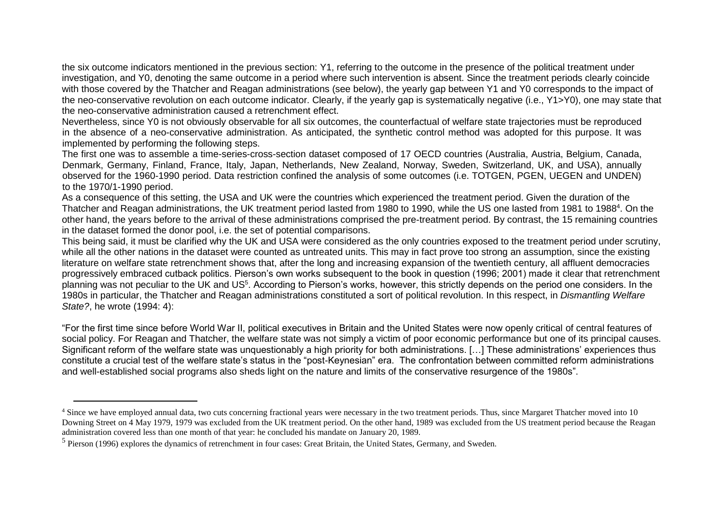the six outcome indicators mentioned in the previous section: Y1, referring to the outcome in the presence of the political treatment under investigation, and Y0, denoting the same outcome in a period where such intervention is absent. Since the treatment periods clearly coincide with those covered by the Thatcher and Reagan administrations (see below), the yearly gap between Y1 and Y0 corresponds to the impact of the neo-conservative revolution on each outcome indicator. Clearly, if the yearly gap is systematically negative (i.e., Y1>Y0), one may state that the neo-conservative administration caused a retrenchment effect.

Nevertheless, since Y0 is not obviously observable for all six outcomes, the counterfactual of welfare state trajectories must be reproduced in the absence of a neo-conservative administration. As anticipated, the synthetic control method was adopted for this purpose. It was implemented by performing the following steps.

The first one was to assemble a time-series-cross-section dataset composed of 17 OECD countries (Australia, Austria, Belgium, Canada, Denmark, Germany, Finland, France, Italy, Japan, Netherlands, New Zealand, Norway, Sweden, Switzerland, UK, and USA), annually observed for the 1960-1990 period. Data restriction confined the analysis of some outcomes (i.e. TOTGEN, PGEN, UEGEN and UNDEN) to the 1970/1-1990 period.

As a consequence of this setting, the USA and UK were the countries which experienced the treatment period. Given the duration of the Thatcher and Reagan administrations, the UK treatment period lasted from 1980 to 1990, while the US one lasted from 1981 to 1988<sup>4</sup>. On the other hand, the years before to the arrival of these administrations comprised the pre-treatment period. By contrast, the 15 remaining countries in the dataset formed the donor pool, i.e. the set of potential comparisons.

This being said, it must be clarified why the UK and USA were considered as the only countries exposed to the treatment period under scrutiny, while all the other nations in the dataset were counted as untreated units. This may in fact prove too strong an assumption, since the existing literature on welfare state retrenchment shows that, after the long and increasing expansion of the twentieth century, all affluent democracies progressively embraced cutback politics. Pierson's own works subsequent to the book in question (1996; 2001) made it clear that retrenchment planning was not peculiar to the UK and US<sup>5</sup>. According to Pierson's works, however, this strictly depends on the period one considers. In the 1980s in particular, the Thatcher and Reagan administrations constituted a sort of political revolution. In this respect, in *Dismantling Welfare State?*, he wrote (1994: 4):

"For the first time since before World War II, political executives in Britain and the United States were now openly critical of central features of social policy. For Reagan and Thatcher, the welfare state was not simply a victim of poor economic performance but one of its principal causes. Significant reform of the welfare state was unquestionably a high priority for both administrations. […] These administrations' experiences thus constitute a crucial test of the welfare state's status in the "post-Keynesian" era. The confrontation between committed reform administrations and well-established social programs also sheds light on the nature and limits of the conservative resurgence of the 1980s".

<sup>&</sup>lt;sup>4</sup> Since we have employed annual data, two cuts concerning fractional years were necessary in the two treatment periods. Thus, since Margaret Thatcher moved into 10 Downing Street on 4 May 1979, 1979 was excluded from the UK treatment period. On the other hand, 1989 was excluded from the US treatment period because the Reagan administration covered less than one month of that year: he concluded his mandate on January 20, 1989.

<sup>&</sup>lt;sup>5</sup> Pierson (1996) explores the dynamics of retrenchment in four cases: Great Britain, the United States, Germany, and Sweden.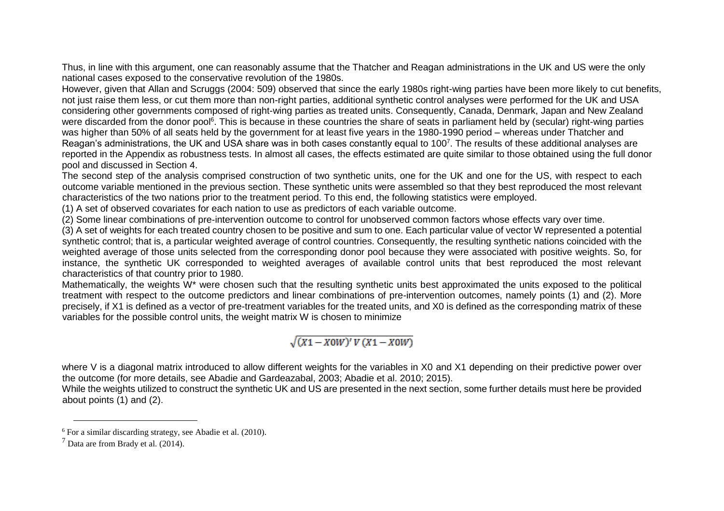Thus, in line with this argument, one can reasonably assume that the Thatcher and Reagan administrations in the UK and US were the only national cases exposed to the conservative revolution of the 1980s.

However, given that Allan and Scruggs (2004: 509) observed that since the early 1980s right-wing parties have been more likely to cut benefits, not just raise them less, or cut them more than non-right parties, additional synthetic control analyses were performed for the UK and USA considering other governments composed of right-wing parties as treated units. Consequently, Canada, Denmark, Japan and New Zealand were discarded from the donor pool<sup>6</sup>. This is because in these countries the share of seats in parliament held by (secular) right-wing parties was higher than 50% of all seats held by the government for at least five years in the 1980-1990 period – whereas under Thatcher and Reagan's administrations, the UK and USA share was in both cases constantly equal to 100<sup>7</sup>. The results of these additional analyses are reported in the Appendix as robustness tests. In almost all cases, the effects estimated are quite similar to those obtained using the full donor pool and discussed in Section 4.

The second step of the analysis comprised construction of two synthetic units, one for the UK and one for the US, with respect to each outcome variable mentioned in the previous section. These synthetic units were assembled so that they best reproduced the most relevant characteristics of the two nations prior to the treatment period. To this end, the following statistics were employed.

(1) A set of observed covariates for each nation to use as predictors of each variable outcome.

(2) Some linear combinations of pre-intervention outcome to control for unobserved common factors whose effects vary over time.

(3) A set of weights for each treated country chosen to be positive and sum to one. Each particular value of vector W represented a potential synthetic control; that is, a particular weighted average of control countries. Consequently, the resulting synthetic nations coincided with the weighted average of those units selected from the corresponding donor pool because they were associated with positive weights. So, for instance, the synthetic UK corresponded to weighted averages of available control units that best reproduced the most relevant characteristics of that country prior to 1980.

Mathematically, the weights W\* were chosen such that the resulting synthetic units best approximated the units exposed to the political treatment with respect to the outcome predictors and linear combinations of pre-intervention outcomes, namely points (1) and (2). More precisely, if X1 is defined as a vector of pre-treatment variables for the treated units, and X0 is defined as the corresponding matrix of these variables for the possible control units, the weight matrix W is chosen to minimize

# $\sqrt{(X1-X0W)'V(X1-X0W)}$

where V is a diagonal matrix introduced to allow different weights for the variables in X0 and X1 depending on their predictive power over the outcome (for more details, see Abadie and Gardeazabal, 2003; Abadie et al. 2010; 2015).

While the weights utilized to construct the synthetic UK and US are presented in the next section, some further details must here be provided about points (1) and (2).

 $6$  For a similar discarding strategy, see Abadie et al. (2010).

 $<sup>7</sup>$  Data are from Brady et al. (2014).</sup>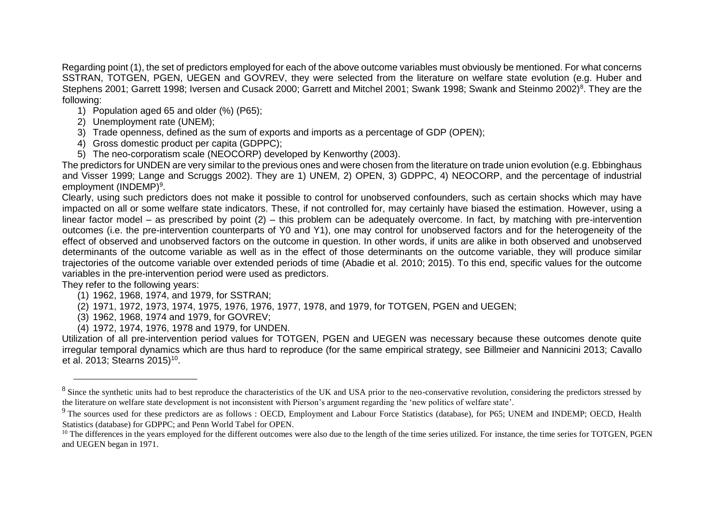Regarding point (1), the set of predictors employed for each of the above outcome variables must obviously be mentioned. For what concerns SSTRAN, TOTGEN, PGEN, UEGEN and GOVREV, they were selected from the literature on welfare state evolution (e.g. Huber and Stephens 2001; Garrett 1998; Iversen and Cusack 2000; Garrett and Mitchel 2001; Swank 1998; Swank and Steinmo 2002)<sup>8</sup>. They are the following:

- 1) Population aged 65 and older (%) (P65);
- 2) Unemployment rate (UNEM);
- 3) Trade openness, defined as the sum of exports and imports as a percentage of GDP (OPEN);
- 4) Gross domestic product per capita (GDPPC);
- 5) The neo-corporatism scale (NEOCORP) developed by Kenworthy (2003).

The predictors for UNDEN are very similar to the previous ones and were chosen from the literature on trade union evolution (e.g. Ebbinghaus and Visser 1999; Lange and Scruggs 2002). They are 1) UNEM, 2) OPEN, 3) GDPPC, 4) NEOCORP, and the percentage of industrial employment (INDEMP)<sup>9</sup>.

Clearly, using such predictors does not make it possible to control for unobserved confounders, such as certain shocks which may have impacted on all or some welfare state indicators. These, if not controlled for, may certainly have biased the estimation. However, using a linear factor model – as prescribed by point (2) – this problem can be adequately overcome. In fact, by matching with pre-intervention outcomes (i.e. the pre-intervention counterparts of Y0 and Y1), one may control for unobserved factors and for the heterogeneity of the effect of observed and unobserved factors on the outcome in question. In other words, if units are alike in both observed and unobserved determinants of the outcome variable as well as in the effect of those determinants on the outcome variable, they will produce similar trajectories of the outcome variable over extended periods of time (Abadie et al. 2010; 2015). To this end, specific values for the outcome variables in the pre-intervention period were used as predictors.

They refer to the following years:

**.** 

- (1) 1962, 1968, 1974, and 1979, for SSTRAN;
- (2) 1971, 1972, 1973, 1974, 1975, 1976, 1976, 1977, 1978, and 1979, for TOTGEN, PGEN and UEGEN;
- (3) 1962, 1968, 1974 and 1979, for GOVREV;
- (4) 1972, 1974, 1976, 1978 and 1979, for UNDEN.

Utilization of all pre-intervention period values for TOTGEN, PGEN and UEGEN was necessary because these outcomes denote quite irregular temporal dynamics which are thus hard to reproduce (for the same empirical strategy, see Billmeier and Nannicini 2013; Cavallo et al. 2013; Stearns 2015)<sup>10</sup>.

 $8$  Since the synthetic units had to best reproduce the characteristics of the UK and USA prior to the neo-conservative revolution, considering the predictors stressed by the literature on welfare state development is not inconsistent with Pierson's argument regarding the 'new politics of welfare state'.

 $9$  The sources used for these predictors are as follows : OECD, Employment and Labour Force Statistics (database), for P65; UNEM and INDEMP; OECD, Health Statistics (database) for GDPPC; and Penn World Tabel for OPEN.

<sup>&</sup>lt;sup>10</sup> The differences in the years employed for the different outcomes were also due to the length of the time series utilized. For instance, the time series for TOTGEN, PGEN and UEGEN began in 1971.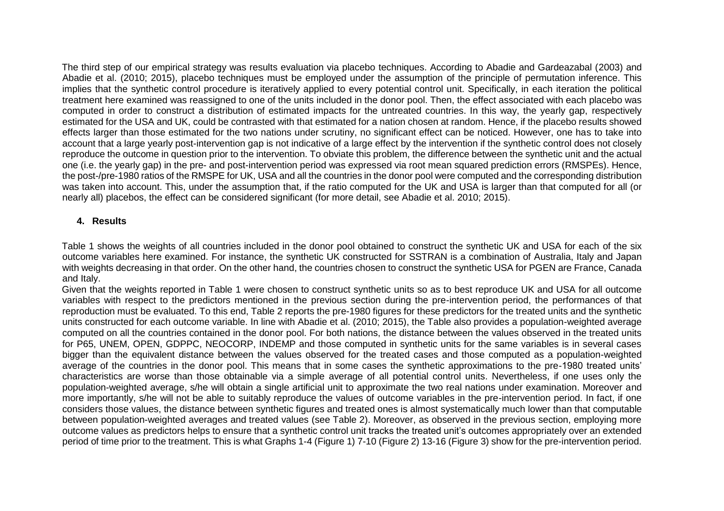The third step of our empirical strategy was results evaluation via placebo techniques. According to Abadie and Gardeazabal (2003) and Abadie et al. (2010; 2015), placebo techniques must be employed under the assumption of the principle of permutation inference. This implies that the synthetic control procedure is iteratively applied to every potential control unit. Specifically, in each iteration the political treatment here examined was reassigned to one of the units included in the donor pool. Then, the effect associated with each placebo was computed in order to construct a distribution of estimated impacts for the untreated countries. In this way, the yearly gap, respectively estimated for the USA and UK, could be contrasted with that estimated for a nation chosen at random. Hence, if the placebo results showed effects larger than those estimated for the two nations under scrutiny, no significant effect can be noticed. However, one has to take into account that a large yearly post-intervention gap is not indicative of a large effect by the intervention if the synthetic control does not closely reproduce the outcome in question prior to the intervention. To obviate this problem, the difference between the synthetic unit and the actual one (i.e. the yearly gap) in the pre- and post-intervention period was expressed via root mean squared prediction errors (RMSPEs). Hence, the post-/pre-1980 ratios of the RMSPE for UK, USA and all the countries in the donor pool were computed and the corresponding distribution was taken into account. This, under the assumption that, if the ratio computed for the UK and USA is larger than that computed for all (or nearly all) placebos, the effect can be considered significant (for more detail, see Abadie et al. 2010; 2015).

#### **4. Results**

Table 1 shows the weights of all countries included in the donor pool obtained to construct the synthetic UK and USA for each of the six outcome variables here examined. For instance, the synthetic UK constructed for SSTRAN is a combination of Australia, Italy and Japan with weights decreasing in that order. On the other hand, the countries chosen to construct the synthetic USA for PGEN are France, Canada and Italy.

Given that the weights reported in Table 1 were chosen to construct synthetic units so as to best reproduce UK and USA for all outcome variables with respect to the predictors mentioned in the previous section during the pre-intervention period, the performances of that reproduction must be evaluated. To this end, Table 2 reports the pre-1980 figures for these predictors for the treated units and the synthetic units constructed for each outcome variable. In line with Abadie et al. (2010; 2015), the Table also provides a population-weighted average computed on all the countries contained in the donor pool. For both nations, the distance between the values observed in the treated units for P65, UNEM, OPEN, GDPPC, NEOCORP, INDEMP and those computed in synthetic units for the same variables is in several cases bigger than the equivalent distance between the values observed for the treated cases and those computed as a population-weighted average of the countries in the donor pool. This means that in some cases the synthetic approximations to the pre-1980 treated units' characteristics are worse than those obtainable via a simple average of all potential control units. Nevertheless, if one uses only the population-weighted average, s/he will obtain a single artificial unit to approximate the two real nations under examination. Moreover and more importantly, s/he will not be able to suitably reproduce the values of outcome variables in the pre-intervention period. In fact, if one considers those values, the distance between synthetic figures and treated ones is almost systematically much lower than that computable between population-weighted averages and treated values (see Table 2). Moreover, as observed in the previous section, employing more outcome values as predictors helps to ensure that a synthetic control unit tracks the treated unit's outcomes appropriately over an extended period of time prior to the treatment. This is what Graphs 1-4 (Figure 1) 7-10 (Figure 2) 13-16 (Figure 3) show for the pre-intervention period.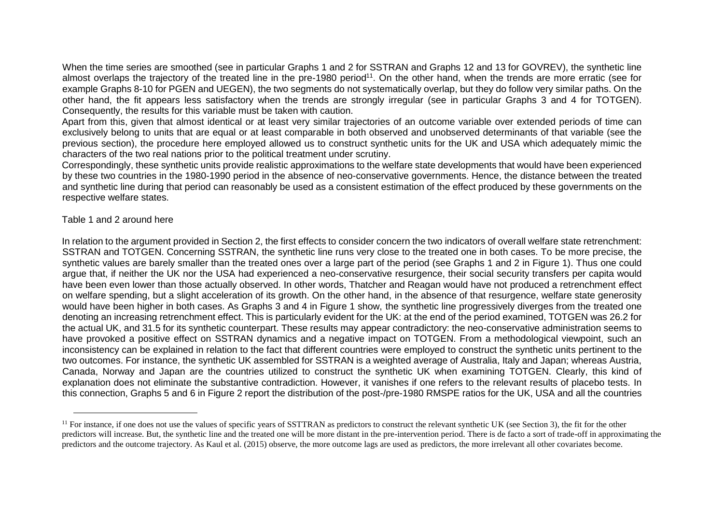When the time series are smoothed (see in particular Graphs 1 and 2 for SSTRAN and Graphs 12 and 13 for GOVREV), the synthetic line almost overlaps the trajectory of the treated line in the pre-1980 period<sup>11</sup>. On the other hand, when the trends are more erratic (see for example Graphs 8-10 for PGEN and UEGEN), the two segments do not systematically overlap, but they do follow very similar paths. On the other hand, the fit appears less satisfactory when the trends are strongly irregular (see in particular Graphs 3 and 4 for TOTGEN). Consequently, the results for this variable must be taken with caution.

Apart from this, given that almost identical or at least very similar trajectories of an outcome variable over extended periods of time can exclusively belong to units that are equal or at least comparable in both observed and unobserved determinants of that variable (see the previous section), the procedure here employed allowed us to construct synthetic units for the UK and USA which adequately mimic the characters of the two real nations prior to the political treatment under scrutiny.

Correspondingly, these synthetic units provide realistic approximations to the welfare state developments that would have been experienced by these two countries in the 1980-1990 period in the absence of neo-conservative governments. Hence, the distance between the treated and synthetic line during that period can reasonably be used as a consistent estimation of the effect produced by these governments on the respective welfare states.

#### Table 1 and 2 around here

**.** 

In relation to the argument provided in Section 2, the first effects to consider concern the two indicators of overall welfare state retrenchment: SSTRAN and TOTGEN. Concerning SSTRAN, the synthetic line runs very close to the treated one in both cases. To be more precise, the synthetic values are barely smaller than the treated ones over a large part of the period (see Graphs 1 and 2 in Figure 1). Thus one could argue that, if neither the UK nor the USA had experienced a neo-conservative resurgence, their social security transfers per capita would have been even lower than those actually observed. In other words, Thatcher and Reagan would have not produced a retrenchment effect on welfare spending, but a slight acceleration of its growth. On the other hand, in the absence of that resurgence, welfare state generosity would have been higher in both cases. As Graphs 3 and 4 in Figure 1 show, the synthetic line progressively diverges from the treated one denoting an increasing retrenchment effect. This is particularly evident for the UK: at the end of the period examined, TOTGEN was 26.2 for the actual UK, and 31.5 for its synthetic counterpart. These results may appear contradictory: the neo-conservative administration seems to have provoked a positive effect on SSTRAN dynamics and a negative impact on TOTGEN. From a methodological viewpoint, such an inconsistency can be explained in relation to the fact that different countries were employed to construct the synthetic units pertinent to the two outcomes. For instance, the synthetic UK assembled for SSTRAN is a weighted average of Australia, Italy and Japan; whereas Austria, Canada, Norway and Japan are the countries utilized to construct the synthetic UK when examining TOTGEN. Clearly, this kind of explanation does not eliminate the substantive contradiction. However, it vanishes if one refers to the relevant results of placebo tests. In this connection, Graphs 5 and 6 in Figure 2 report the distribution of the post-/pre-1980 RMSPE ratios for the UK, USA and all the countries

 $11$  For instance, if one does not use the values of specific years of SSTTRAN as predictors to construct the relevant synthetic UK (see Section 3), the fit for the other predictors will increase. But, the synthetic line and the treated one will be more distant in the pre-intervention period. There is de facto a sort of trade-off in approximating the predictors and the outcome trajectory. As Kaul et al. (2015) observe, the more outcome lags are used as predictors, the more irrelevant all other covariates become.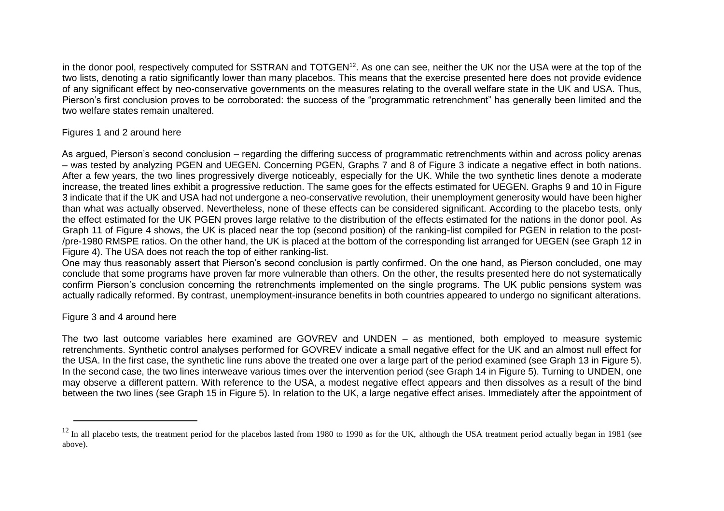in the donor pool, respectively computed for SSTRAN and TOTGEN<sup>12</sup>. As one can see, neither the UK nor the USA were at the top of the two lists, denoting a ratio significantly lower than many placebos. This means that the exercise presented here does not provide evidence of any significant effect by neo-conservative governments on the measures relating to the overall welfare state in the UK and USA. Thus, Pierson's first conclusion proves to be corroborated: the success of the "programmatic retrenchment" has generally been limited and the two welfare states remain unaltered.

#### Figures 1 and 2 around here

As argued, Pierson's second conclusion – regarding the differing success of programmatic retrenchments within and across policy arenas – was tested by analyzing PGEN and UEGEN. Concerning PGEN, Graphs 7 and 8 of Figure 3 indicate a negative effect in both nations. After a few years, the two lines progressively diverge noticeably, especially for the UK. While the two synthetic lines denote a moderate increase, the treated lines exhibit a progressive reduction. The same goes for the effects estimated for UEGEN. Graphs 9 and 10 in Figure 3 indicate that if the UK and USA had not undergone a neo-conservative revolution, their unemployment generosity would have been higher than what was actually observed. Nevertheless, none of these effects can be considered significant. According to the placebo tests, only the effect estimated for the UK PGEN proves large relative to the distribution of the effects estimated for the nations in the donor pool. As Graph 11 of Figure 4 shows, the UK is placed near the top (second position) of the ranking-list compiled for PGEN in relation to the post- /pre-1980 RMSPE ratios. On the other hand, the UK is placed at the bottom of the corresponding list arranged for UEGEN (see Graph 12 in Figure 4). The USA does not reach the top of either ranking-list.

One may thus reasonably assert that Pierson's second conclusion is partly confirmed. On the one hand, as Pierson concluded, one may conclude that some programs have proven far more vulnerable than others. On the other, the results presented here do not systematically confirm Pierson's conclusion concerning the retrenchments implemented on the single programs. The UK public pensions system was actually radically reformed. By contrast, unemployment-insurance benefits in both countries appeared to undergo no significant alterations.

### Figure 3 and 4 around here

<u>.</u>

The two last outcome variables here examined are GOVREV and UNDEN – as mentioned, both employed to measure systemic retrenchments. Synthetic control analyses performed for GOVREV indicate a small negative effect for the UK and an almost null effect for the USA. In the first case, the synthetic line runs above the treated one over a large part of the period examined (see Graph 13 in Figure 5). In the second case, the two lines interweave various times over the intervention period (see Graph 14 in Figure 5). Turning to UNDEN, one may observe a different pattern. With reference to the USA, a modest negative effect appears and then dissolves as a result of the bind between the two lines (see Graph 15 in Figure 5). In relation to the UK, a large negative effect arises. Immediately after the appointment of

 $12$  In all placebo tests, the treatment period for the placebos lasted from 1980 to 1990 as for the UK, although the USA treatment period actually began in 1981 (see above).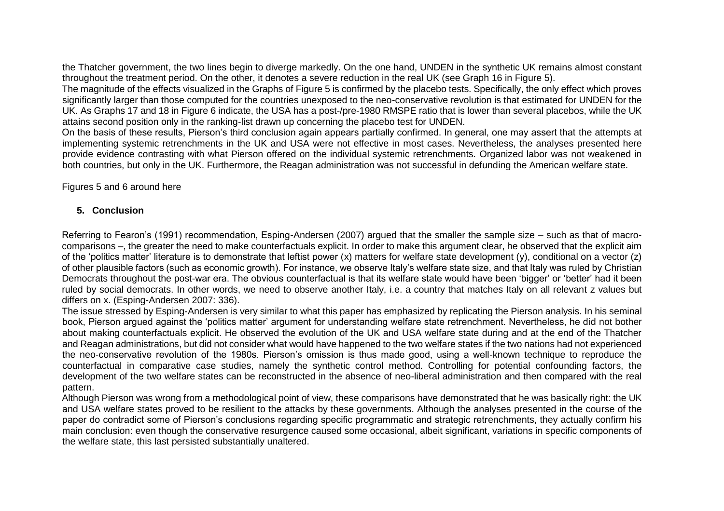the Thatcher government, the two lines begin to diverge markedly. On the one hand, UNDEN in the synthetic UK remains almost constant throughout the treatment period. On the other, it denotes a severe reduction in the real UK (see Graph 16 in Figure 5).

The magnitude of the effects visualized in the Graphs of Figure 5 is confirmed by the placebo tests. Specifically, the only effect which proves significantly larger than those computed for the countries unexposed to the neo-conservative revolution is that estimated for UNDEN for the UK. As Graphs 17 and 18 in Figure 6 indicate, the USA has a post-/pre-1980 RMSPE ratio that is lower than several placebos, while the UK attains second position only in the ranking-list drawn up concerning the placebo test for UNDEN.

On the basis of these results, Pierson's third conclusion again appears partially confirmed. In general, one may assert that the attempts at implementing systemic retrenchments in the UK and USA were not effective in most cases. Nevertheless, the analyses presented here provide evidence contrasting with what Pierson offered on the individual systemic retrenchments. Organized labor was not weakened in both countries, but only in the UK. Furthermore, the Reagan administration was not successful in defunding the American welfare state.

Figures 5 and 6 around here

#### **5. Conclusion**

Referring to Fearon's (1991) recommendation, Esping-Andersen (2007) argued that the smaller the sample size – such as that of macrocomparisons –, the greater the need to make counterfactuals explicit. In order to make this argument clear, he observed that the explicit aim of the 'politics matter' literature is to demonstrate that leftist power (x) matters for welfare state development (y), conditional on a vector (z) of other plausible factors (such as economic growth). For instance, we observe Italy's welfare state size, and that Italy was ruled by Christian Democrats throughout the post-war era. The obvious counterfactual is that its welfare state would have been 'bigger' or 'better' had it been ruled by social democrats. In other words, we need to observe another Italy, i.e. a country that matches Italy on all relevant z values but differs on x. (Esping-Andersen 2007: 336).

The issue stressed by Esping-Andersen is very similar to what this paper has emphasized by replicating the Pierson analysis. In his seminal book, Pierson argued against the 'politics matter' argument for understanding welfare state retrenchment. Nevertheless, he did not bother about making counterfactuals explicit. He observed the evolution of the UK and USA welfare state during and at the end of the Thatcher and Reagan administrations, but did not consider what would have happened to the two welfare states if the two nations had not experienced the neo-conservative revolution of the 1980s. Pierson's omission is thus made good, using a well-known technique to reproduce the counterfactual in comparative case studies, namely the synthetic control method. Controlling for potential confounding factors, the development of the two welfare states can be reconstructed in the absence of neo-liberal administration and then compared with the real pattern.

Although Pierson was wrong from a methodological point of view, these comparisons have demonstrated that he was basically right: the UK and USA welfare states proved to be resilient to the attacks by these governments. Although the analyses presented in the course of the paper do contradict some of Pierson's conclusions regarding specific programmatic and strategic retrenchments, they actually confirm his main conclusion: even though the conservative resurgence caused some occasional, albeit significant, variations in specific components of the welfare state, this last persisted substantially unaltered.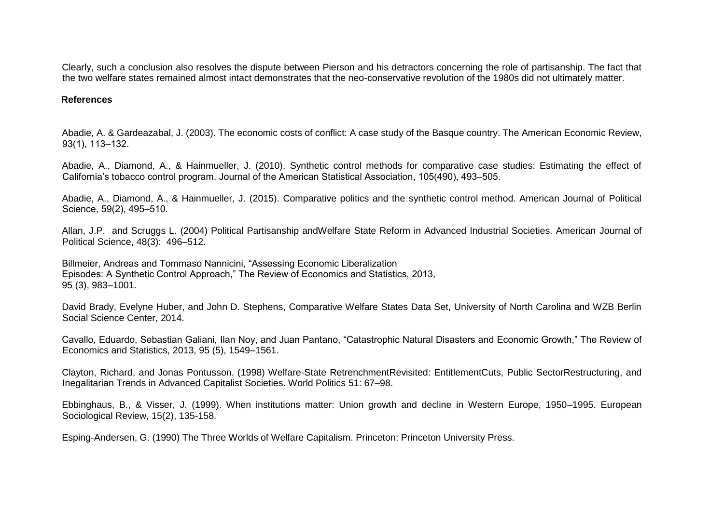Clearly, such a conclusion also resolves the dispute between Pierson and his detractors concerning the role of partisanship. The fact that the two welfare states remained almost intact demonstrates that the neo-conservative revolution of the 1980s did not ultimately matter.

#### **References**

Abadie, A. & Gardeazabal, J. (2003). The economic costs of conflict: A case study of the Basque country. The American Economic Review, 93(1), 113‒132.

Abadie, A., Diamond, A., & Hainmueller, J. (2010). Synthetic control methods for comparative case studies: Estimating the effect of California's tobacco control program. Journal of the American Statistical Association, 105(490), 493–505.

Abadie, A., Diamond, A., & Hainmueller, J. (2015). Comparative politics and the synthetic control method. American Journal of Political Science, 59(2), 495-510.

Allan, J.P. and Scruggs L. (2004) Political Partisanship andWelfare State Reform in Advanced Industrial Societies. American Journal of Political Science, 48(3): 496–512.

Billmeier, Andreas and Tommaso Nannicini, "Assessing Economic Liberalization Episodes: A Synthetic Control Approach," The Review of Economics and Statistics, 2013, 95 (3), 983–1001.

David Brady, Evelyne Huber, and John D. Stephens, Comparative Welfare States Data Set, University of North Carolina and WZB Berlin Social Science Center, 2014.

Cavallo, Eduardo, Sebastian Galiani, Ilan Noy, and Juan Pantano, "Catastrophic Natural Disasters and Economic Growth," The Review of Economics and Statistics, 2013, 95 (5), 1549–1561.

Clayton, Richard, and Jonas Pontusson. (1998) Welfare-State RetrenchmentRevisited: EntitlementCuts, Public SectorRestructuring, and Inegalitarian Trends in Advanced Capitalist Societies. World Politics 51: 67–98.

Ebbinghaus, B., & Visser, J. (1999). When institutions matter: Union growth and decline in Western Europe, 1950–1995. European Sociological Review, 15(2), 135-158.

Esping‐Andersen, G. (1990) The Three Worlds of Welfare Capitalism. Princeton: Princeton University Press.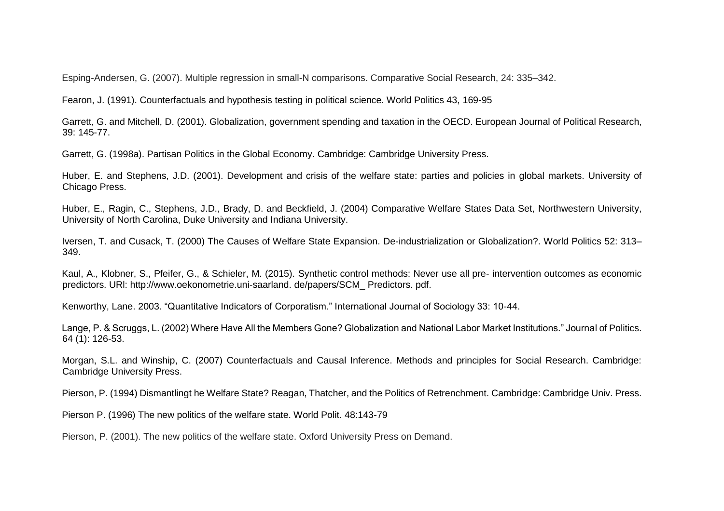Esping-Andersen, G. (2007). Multiple regression in small-N comparisons. Comparative Social Research, 24: 335–342.

Fearon, J. (1991). Counterfactuals and hypothesis testing in political science. World Politics 43, 169-95

Garrett, G. and Mitchell, D. (2001). Globalization, government spending and taxation in the OECD. European Journal of Political Research, 39: 145-77.

Garrett, G. (1998a). Partisan Politics in the Global Economy. Cambridge: Cambridge University Press.

Huber, E. and Stephens, J.D. (2001). Development and crisis of the welfare state: parties and policies in global markets. University of Chicago Press.

Huber, E., Ragin, C., Stephens, J.D., Brady, D. and Beckfield, J. (2004) Comparative Welfare States Data Set, Northwestern University, University of North Carolina, Duke University and Indiana University.

Iversen, T. and Cusack, T. (2000) The Causes of Welfare State Expansion. De-industrialization or Globalization?. World Politics 52: 313– 349.

Kaul, A., Klobner, S., Pfeifer, G., & Schieler, M. (2015). Synthetic control methods: Never use all pre- intervention outcomes as economic predictors. URl: http://www.oekonometrie.uni-saarland. de/papers/SCM\_ Predictors. pdf.

Kenworthy, Lane. 2003. "Quantitative Indicators of Corporatism." International Journal of Sociology 33: 10-44.

Lange, P. & Scruggs, L. (2002) Where Have All the Members Gone? Globalization and National Labor Market Institutions." Journal of Politics. 64 (1): 126-53.

Morgan, S.L. and Winship, C. (2007) Counterfactuals and Causal Inference. Methods and principles for Social Research. Cambridge: Cambridge University Press.

Pierson, P. (1994) Dismantlingt he Welfare State? Reagan, Thatcher, and the Politics of Retrenchment. Cambridge: Cambridge Univ. Press.

Pierson P. (1996) The new politics of the welfare state. World Polit. 48:143-79

Pierson, P. (2001). The new politics of the welfare state. Oxford University Press on Demand.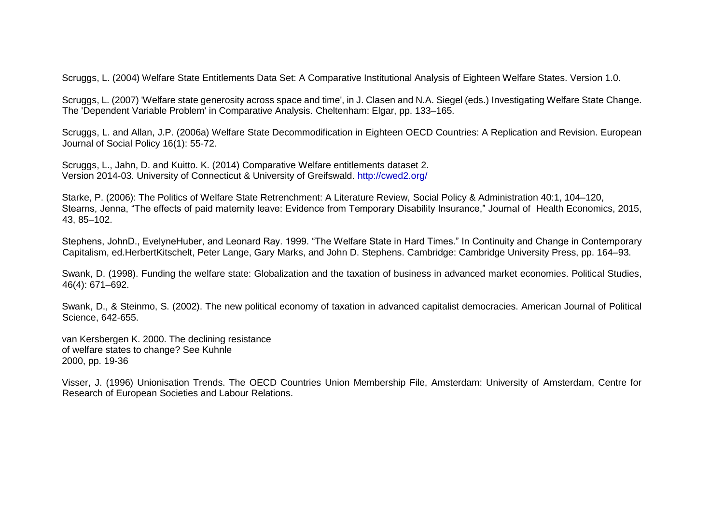Scruggs, L. (2004) Welfare State Entitlements Data Set: A Comparative Institutional Analysis of Eighteen Welfare States. Version 1.0.

Scruggs, L. (2007) 'Welfare state generosity across space and time', in J. Clasen and N.A. Siegel (eds.) Investigating Welfare State Change. The 'Dependent Variable Problem' in Comparative Analysis. Cheltenham: Elgar, pp. 133–165.

Scruggs, L. and Allan, J.P. (2006a) [Welfare State Decommodification in Eighteen OECD Countries: A Replication and Revision.](http://sp.uconn.edu/~scruggs/jesp06.pdf) European Journal of Social Policy 16(1): 55-72.

Scruggs, L., Jahn, D. and Kuitto. K. (2014) Comparative Welfare entitlements dataset 2. Version 2014-03. University of Connecticut & University of Greifswald. http://cwed2.org/

Starke, P. (2006): The Politics of Welfare State Retrenchment: A Literature Review, Social Policy & Administration 40:1, 104–120, Stearns, Jenna, "The effects of paid maternity leave: Evidence from Temporary Disability Insurance," Journal of Health Economics, 2015, 43, 85–102.

Stephens, JohnD., EvelyneHuber, and Leonard Ray. 1999. "The Welfare State in Hard Times." In Continuity and Change in Contemporary Capitalism, ed.HerbertKitschelt, Peter Lange, Gary Marks, and John D. Stephens. Cambridge: Cambridge University Press, pp. 164–93.

Swank, D. (1998). Funding the welfare state: Globalization and the taxation of business in advanced market economies. Political Studies, 46(4): 671–692.

Swank, D., & Steinmo, S. (2002). The new political economy of taxation in advanced capitalist democracies. American Journal of Political Science, 642-655.

van Kersbergen K. 2000. The declining resistance of welfare states to change? See Kuhnle 2000, pp. 19-36

Visser, J. (1996) Unionisation Trends. The OECD Countries Union Membership File, Amsterdam: University of Amsterdam, Centre for Research of European Societies and Labour Relations.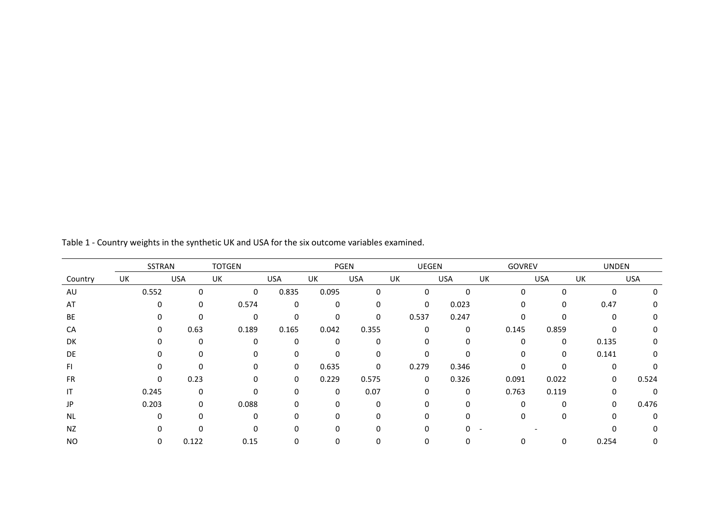|           | SSTRAN       |             | <b>TOTGEN</b> |            | <b>PGEN</b> |            |    | <b>UEGEN</b> |             |                          | GOVREV   |            |       | <b>UNDEN</b> |          |  |
|-----------|--------------|-------------|---------------|------------|-------------|------------|----|--------------|-------------|--------------------------|----------|------------|-------|--------------|----------|--|
| Country   | UK           | <b>USA</b>  | UK            | <b>USA</b> | UK          | <b>USA</b> | UK |              | <b>USA</b>  | UK                       |          | <b>USA</b> | UK    | <b>USA</b>   |          |  |
| AU        | 0.552        | $\mathbf 0$ | 0             | 0.835      | 0.095       | $\Omega$   |    | 0            | $\mathbf 0$ |                          | 0        |            |       | $\mathbf{0}$ | 0        |  |
| AT        | 0            | 0           | 0.574         | 0          | 0           | 0          |    | 0            | 0.023       |                          | 0        | 0          | 0.47  |              | 0        |  |
| <b>BE</b> |              | $\mathbf 0$ | 0             | 0          | 0           | 0          |    | 0.537        | 0.247       |                          | $\Omega$ | 0          |       | 0            | 0        |  |
| CA        | 0            | 0.63        | 0.189         | 0.165      | 0.042       | 0.355      |    | 0            | 0           |                          | 0.145    | 0.859      |       | 0            | 0        |  |
| DK        |              | 0           | 0             | 0          | 0           | 0          |    | $\Omega$     | $\Omega$    |                          | $\Omega$ | 0          | 0.135 |              | 0        |  |
| <b>DE</b> |              | $\Omega$    | 0             | 0          | 0           | 0          |    | 0            | 0           |                          | $\Omega$ | $\Omega$   | 0.141 |              | $\Omega$ |  |
| FI.       | 0            | 0           | 0             | 0          | 0.635       | 0          |    | 0.279        | 0.346       |                          | 0        | 0          |       | 0            | 0        |  |
| <b>FR</b> | 0            | 0.23        | 0             | 0          | 0.229       | 0.575      |    | 0            | 0.326       |                          | 0.091    | 0.022      |       | 0<br>0.524   |          |  |
| ΙT        | 0.245        | 0           | 0             | 0          | 0           | 0.07       |    | 0            | 0           |                          | 0.763    | 0.119      |       | 0            | 0        |  |
| JP        | 0.203        | 0           | 0.088         | 0          | 0           | 0          |    | 0            | 0           |                          | $\Omega$ | $\Omega$   |       | 0.476<br>0   |          |  |
| <b>NL</b> |              | $\Omega$    | 0             | 0          | 0           | 0          |    | 0            | 0           |                          | 0        | 0          |       | 0            | 0        |  |
| <b>NZ</b> | <sup>0</sup> | $\Omega$    | 0             | 0          | $\Omega$    | 0          |    | 0            | ი           | $\overline{\phantom{a}}$ |          |            |       | $\Omega$     | 0        |  |
| <b>NO</b> | 0            | 0.122       | 0.15          |            | 0           | 0          |    | 0            |             |                          | 0        | 0          | 0.254 |              | 0        |  |

Table 1 - Country weights in the synthetic UK and USA for the six outcome variables examined.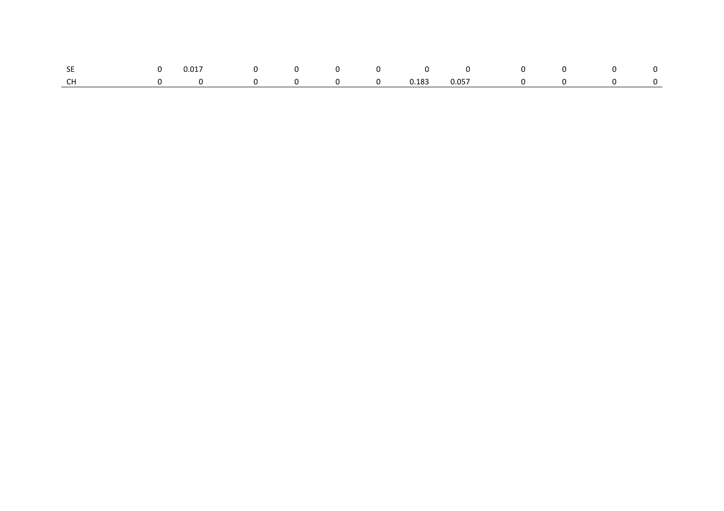| <b>SE</b><br>$0 \t 0 \t 0 \t 0$ | 0.017 | $\overline{0}$ |  |                       |                  |  | $\overline{0}$ |
|---------------------------------|-------|----------------|--|-----------------------|------------------|--|----------------|
| CH                              |       |                |  | $0 \t 0.183 \t 0.057$ | $\overline{0}$ . |  | $\overline{0}$ |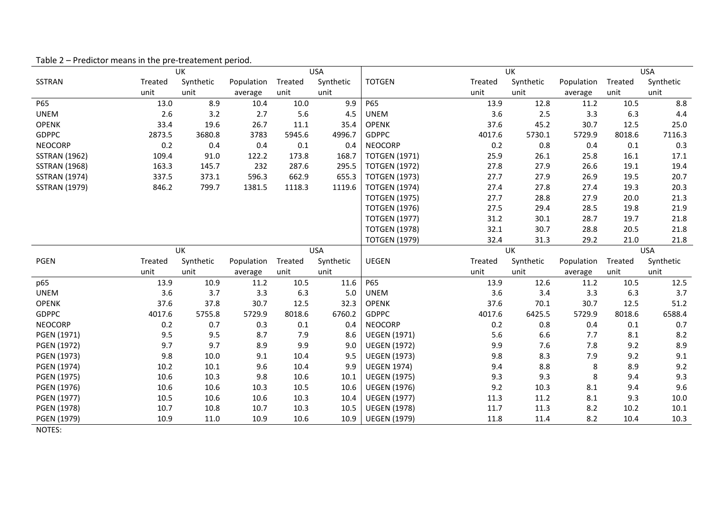|                            |         | UK        |            |         | <b>USA</b> |                                            |         | UK        |            |         | <b>USA</b>   |
|----------------------------|---------|-----------|------------|---------|------------|--------------------------------------------|---------|-----------|------------|---------|--------------|
| <b>SSTRAN</b>              | Treated | Synthetic | Population | Treated | Synthetic  | <b>TOTGEN</b>                              | Treated | Synthetic | Population | Treated | Synthetic    |
|                            | unit    | unit      | average    | unit    | unit       |                                            | unit    | unit      | average    | unit    | unit         |
| P65                        | 13.0    | 8.9       | 10.4       | 10.0    | 9.9        | P65                                        | 13.9    | 12.8      | 11.2       | 10.5    | 8.8          |
| <b>UNEM</b>                | 2.6     | 3.2       | 2.7        | 5.6     | 4.5        | <b>UNEM</b>                                | 3.6     | 2.5       | 3.3        | 6.3     | 4.4          |
| <b>OPENK</b>               | 33.4    | 19.6      | 26.7       | 11.1    | 35.4       | <b>OPENK</b>                               | 37.6    | 45.2      | 30.7       | 12.5    | 25.0         |
| <b>GDPPC</b>               | 2873.5  | 3680.8    | 3783       | 5945.6  | 4996.7     | <b>GDPPC</b>                               | 4017.6  | 5730.1    | 5729.9     | 8018.6  | 7116.3       |
| <b>NEOCORP</b>             | 0.2     | 0.4       | 0.4        | 0.1     | 0.4        | <b>NEOCORP</b>                             | 0.2     | 0.8       | 0.4        | 0.1     | 0.3          |
| <b>SSTRAN (1962)</b>       | 109.4   | 91.0      | 122.2      | 173.8   | 168.7      | <b>TOTGEN (1971)</b>                       | 25.9    | 26.1      | 25.8       | 16.1    | 17.1         |
| <b>SSTRAN (1968)</b>       | 163.3   | 145.7     | 232        | 287.6   | 295.5      | <b>TOTGEN (1972)</b>                       | 27.8    | 27.9      | 26.6       | 19.1    | 19.4         |
| <b>SSTRAN (1974)</b>       | 337.5   | 373.1     | 596.3      | 662.9   | 655.3      | <b>TOTGEN (1973)</b>                       | 27.7    | 27.9      | 26.9       | 19.5    | 20.7         |
| <b>SSTRAN (1979)</b>       | 846.2   | 799.7     | 1381.5     | 1118.3  | 1119.6     | <b>TOTGEN (1974)</b>                       | 27.4    | 27.8      | 27.4       | 19.3    | 20.3         |
|                            |         |           |            |         |            | <b>TOTGEN (1975)</b>                       | 27.7    | 28.8      | 27.9       | 20.0    | 21.3         |
|                            |         |           |            |         |            | <b>TOTGEN (1976)</b>                       | 27.5    | 29.4      | 28.5       | 19.8    | 21.9         |
|                            |         |           |            |         |            | <b>TOTGEN (1977)</b>                       | 31.2    | 30.1      | 28.7       | 19.7    | 21.8         |
|                            |         |           |            |         |            | <b>TOTGEN (1978)</b>                       | 32.1    | 30.7      | 28.8       | 20.5    | 21.8         |
|                            |         |           |            |         |            | <b>TOTGEN (1979)</b>                       | 32.4    | 31.3      | 29.2       | 21.0    | 21.8         |
|                            |         |           |            |         |            |                                            |         |           |            |         |              |
|                            |         | UK        |            |         | <b>USA</b> |                                            |         | UK        |            |         | <b>USA</b>   |
| PGEN                       | Treated | Synthetic | Population | Treated | Synthetic  | <b>UEGEN</b>                               | Treated | Synthetic | Population | Treated | Synthetic    |
|                            | unit    | unit      | average    | unit    | unit       |                                            | unit    | unit      | average    | unit    | unit         |
| p65                        | 13.9    | 10.9      | 11.2       | 10.5    | 11.6       | P65                                        | 13.9    | 12.6      | 11.2       | 10.5    | 12.5         |
| <b>UNEM</b>                | 3.6     | 3.7       | 3.3        | 6.3     | 5.0        | <b>UNEM</b>                                | 3.6     | 3.4       | 3.3        | 6.3     | 3.7          |
| <b>OPENK</b>               | 37.6    | 37.8      | 30.7       | 12.5    | 32.3       | <b>OPENK</b>                               | 37.6    | 70.1      | 30.7       | 12.5    | 51.2         |
| <b>GDPPC</b>               | 4017.6  | 5755.8    | 5729.9     | 8018.6  | 6760.2     | <b>GDPPC</b>                               | 4017.6  | 6425.5    | 5729.9     | 8018.6  | 6588.4       |
| <b>NEOCORP</b>             | 0.2     | 0.7       | 0.3        | 0.1     | 0.4        | <b>NEOCORP</b>                             | 0.2     | 0.8       | 0.4        | 0.1     | 0.7          |
| PGEN (1971)                | 9.5     | 9.5       | 8.7        | 7.9     | 8.6        | <b>UEGEN (1971)</b>                        | 5.6     | 6.6       | 7.7        | 8.1     | 8.2          |
| PGEN (1972)                | 9.7     | 9.7       | 8.9        | 9.9     | 9.0        | <b>UEGEN (1972)</b>                        | 9.9     | 7.6       | 7.8        | 9.2     | 8.9          |
| PGEN (1973)                | 9.8     | 10.0      | 9.1        | 10.4    | 9.5        | <b>UEGEN (1973)</b>                        | 9.8     | 8.3       | 7.9        | 9.2     | 9.1          |
| PGEN (1974)                | 10.2    | 10.1      | 9.6        | 10.4    | 9.9        | <b>UEGEN 1974)</b>                         | 9.4     | 8.8       | 8          | 8.9     | 9.2          |
| PGEN (1975)                | 10.6    | 10.3      | 9.8        | 10.6    | 10.1       | <b>UEGEN (1975)</b>                        | 9.3     | 9.3       | 8          | 9.4     | 9.3          |
| PGEN (1976)                | 10.6    | 10.6      | 10.3       | 10.5    | 10.6       | <b>UEGEN (1976)</b>                        | 9.2     | 10.3      | 8.1        | 9.4     | 9.6          |
| PGEN (1977)                | 10.5    | 10.6      | 10.6       | 10.3    | 10.4       | <b>UEGEN (1977)</b>                        | 11.3    | 11.2      | 8.1        | 9.3     | 10.0         |
| PGEN (1978)<br>PGEN (1979) | 10.7    | 10.8      | 10.7       | 10.3    | 10.5       | <b>UEGEN (1978)</b><br><b>UEGEN (1979)</b> | 11.7    | 11.3      | 8.2<br>8.2 | 10.2    | 10.1<br>10.3 |

Table 2 – Predictor means in the pre-treatement period.

NOTES: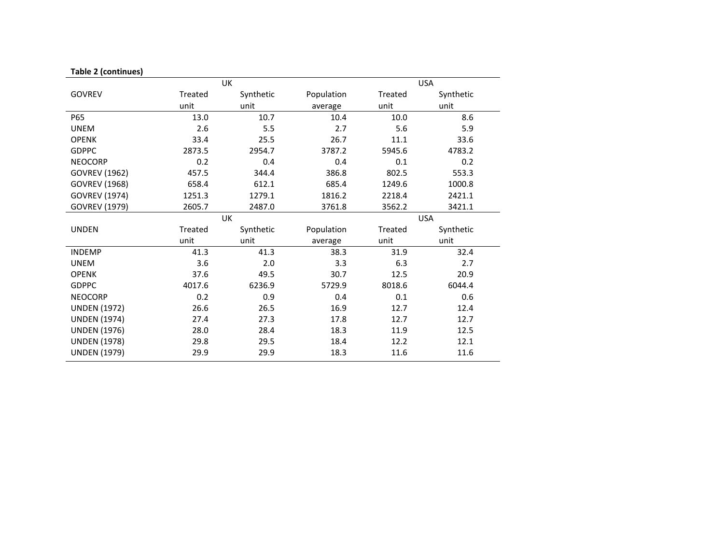| Table 2 (continues)  |         |           |            |         |            |
|----------------------|---------|-----------|------------|---------|------------|
|                      |         | <b>UK</b> |            |         | <b>USA</b> |
| <b>GOVREV</b>        | Treated | Synthetic | Population | Treated | Synthetic  |
|                      | unit    | unit      | average    | unit    | unit       |
| P65                  | 13.0    | 10.7      | 10.4       | 10.0    | 8.6        |
| <b>UNEM</b>          | 2.6     | 5.5       | 2.7        | 5.6     | 5.9        |
| <b>OPENK</b>         | 33.4    | 25.5      | 26.7       | 11.1    | 33.6       |
| <b>GDPPC</b>         | 2873.5  | 2954.7    | 3787.2     | 5945.6  | 4783.2     |
| <b>NEOCORP</b>       | 0.2     | 0.4       | 0.4        | 0.1     | 0.2        |
| <b>GOVREV (1962)</b> | 457.5   | 344.4     | 386.8      | 802.5   | 553.3      |
| <b>GOVREV (1968)</b> | 658.4   | 612.1     | 685.4      | 1249.6  | 1000.8     |
| <b>GOVREV (1974)</b> | 1251.3  | 1279.1    | 1816.2     | 2218.4  | 2421.1     |
| <b>GOVREV (1979)</b> | 2605.7  | 2487.0    | 3761.8     | 3562.2  | 3421.1     |
|                      |         | UK        |            |         | <b>USA</b> |
| <b>UNDEN</b>         | Treated | Synthetic | Population | Treated | Synthetic  |
|                      | unit    | unit      | average    | unit    | unit       |
| <b>INDEMP</b>        | 41.3    | 41.3      | 38.3       | 31.9    | 32.4       |
| <b>UNEM</b>          | 3.6     | 2.0       | 3.3        | 6.3     | 2.7        |
| <b>OPENK</b>         | 37.6    | 49.5      | 30.7       | 12.5    | 20.9       |
| <b>GDPPC</b>         | 4017.6  | 6236.9    | 5729.9     | 8018.6  | 6044.4     |
| <b>NEOCORP</b>       | 0.2     | 0.9       | 0.4        | 0.1     | 0.6        |
| <b>UNDEN (1972)</b>  | 26.6    | 26.5      | 16.9       | 12.7    | 12.4       |
| <b>UNDEN (1974)</b>  | 27.4    | 27.3      | 17.8       | 12.7    | 12.7       |
| <b>UNDEN (1976)</b>  | 28.0    | 28.4      | 18.3       | 11.9    | 12.5       |
| <b>UNDEN (1978)</b>  | 29.8    | 29.5      | 18.4       | 12.2    | 12.1       |
| <b>UNDEN (1979)</b>  | 29.9    | 29.9      | 18.3       | 11.6    | 11.6       |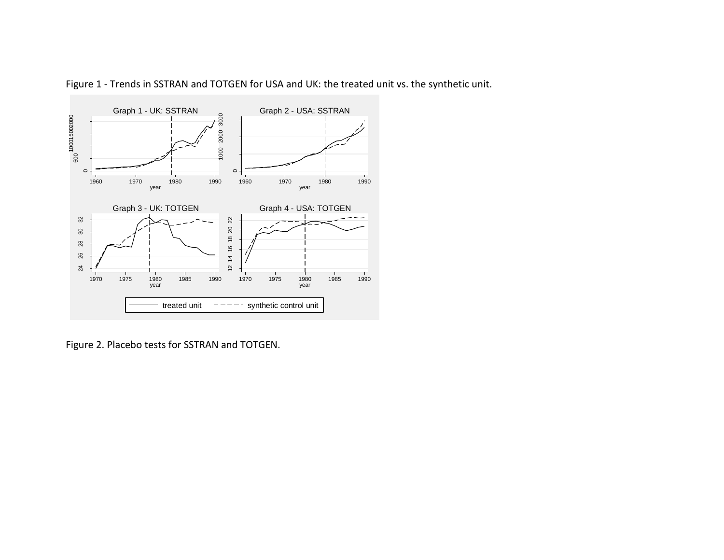

Figure 1 - Trends in SSTRAN and TOTGEN for USA and UK: the treated unit vs. the synthetic unit.

Figure 2. Placebo tests for SSTRAN and TOTGEN.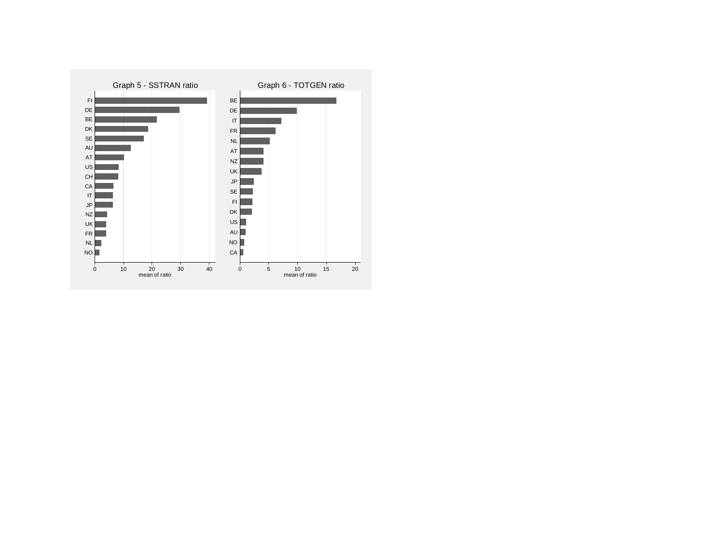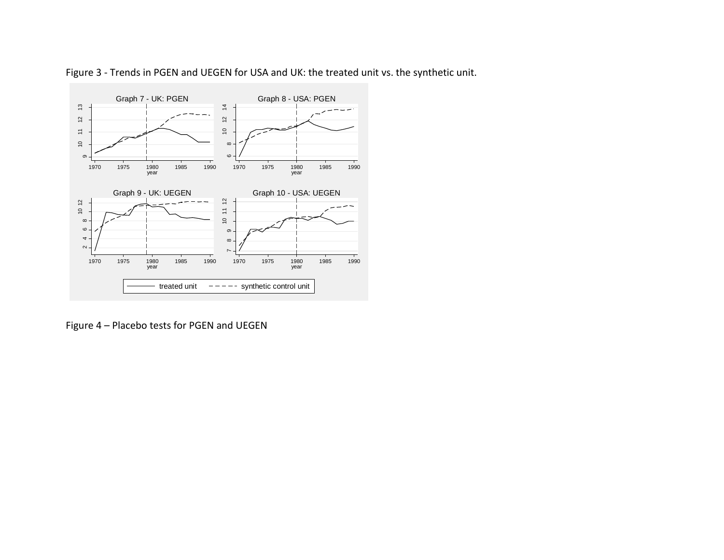

Figure 3 - Trends in PGEN and UEGEN for USA and UK: the treated unit vs. the synthetic unit.

Figure 4 – Placebo tests for PGEN and UEGEN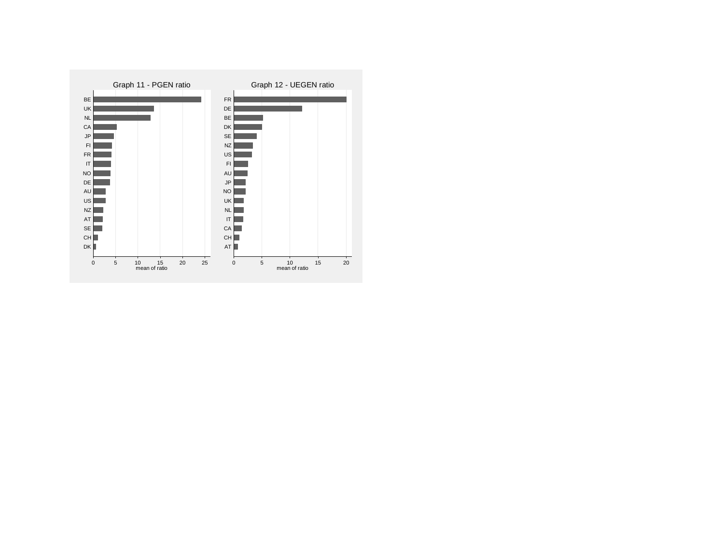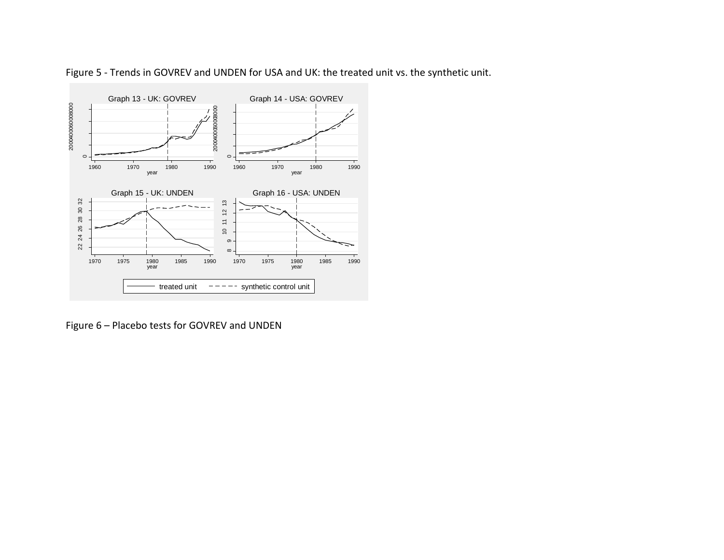

Figure 5 - Trends in GOVREV and UNDEN for USA and UK: the treated unit vs. the synthetic unit.

Figure 6 – Placebo tests for GOVREV and UNDEN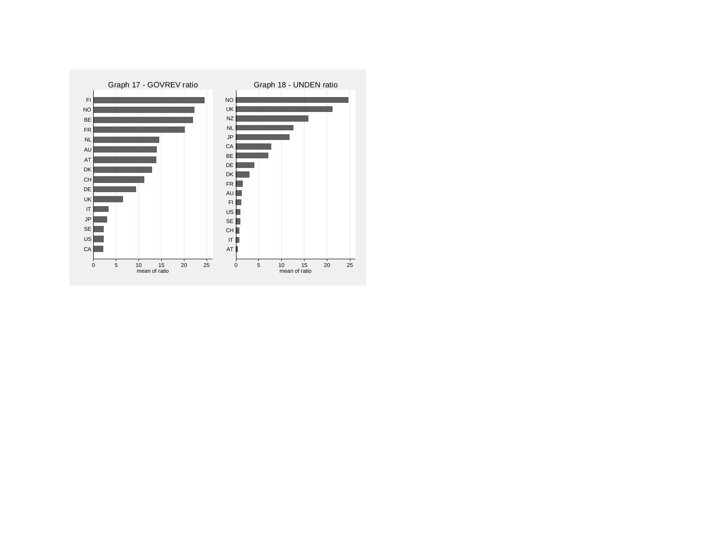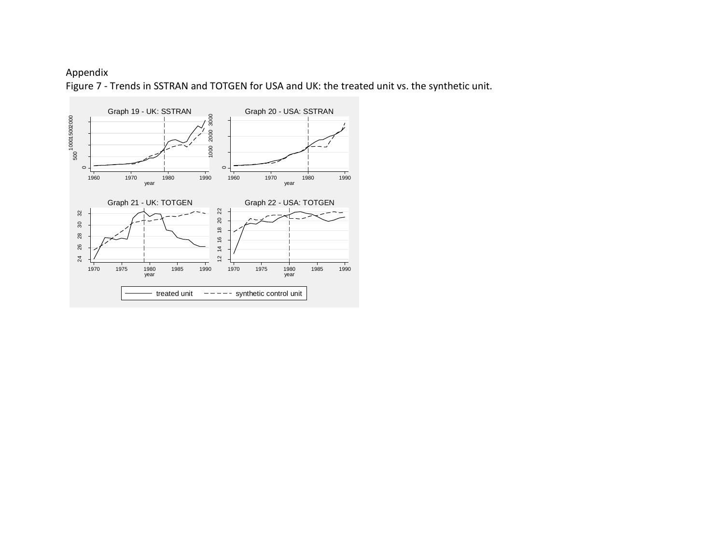### Appendix Figure 7 - Trends in SSTRAN and TOTGEN for USA and UK: the treated unit vs. the synthetic unit.

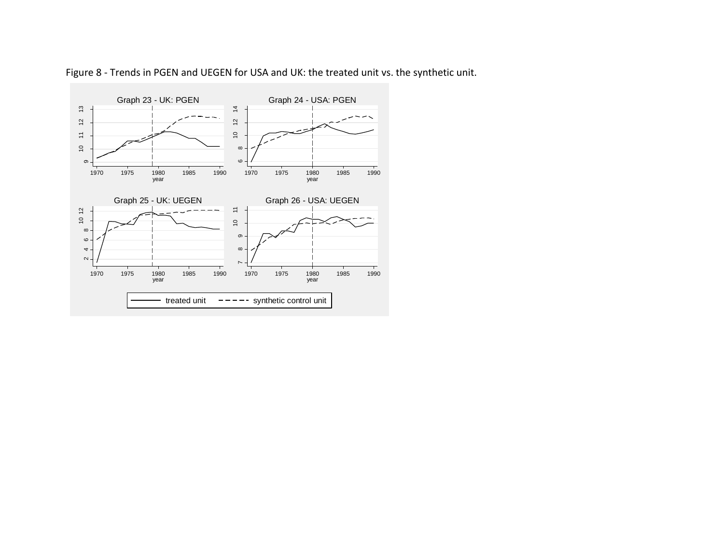

Figure 8 - Trends in PGEN and UEGEN for USA and UK: the treated unit vs. the synthetic unit.